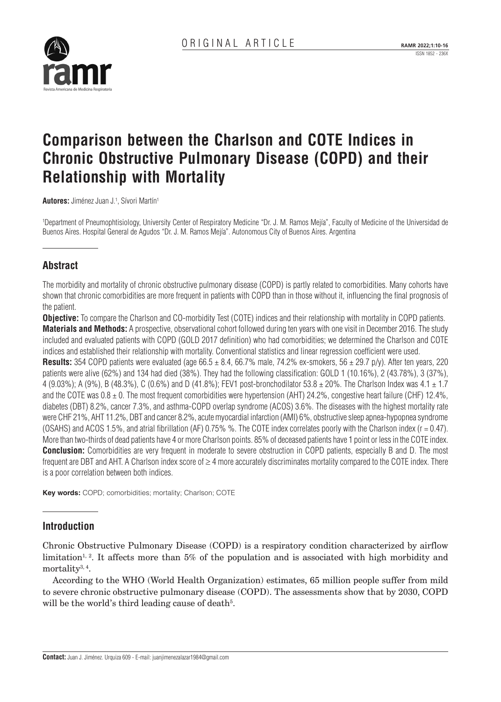

# **Comparison between the Charlson and COTE Indices in Chronic Obstructive Pulmonary Disease (COPD) and their Relationship with Mortality**

**Autores:** Jiménez Juan J.<sup>1</sup>, Sívori Martín<sup>1</sup>

1 Department of Pneumophtisiology, University Center of Respiratory Medicine "Dr. J. M. Ramos Mejía", Faculty of Medicine of the Universidad de Buenos Aires. Hospital General de Agudos "Dr. J. M. Ramos Mejía". Autonomous City of Buenos Aires. Argentina

# **Abstract**

The morbidity and mortality of chronic obstructive pulmonary disease (COPD) is partly related to comorbidities. Many cohorts have shown that chronic comorbidities are more frequent in patients with COPD than in those without it, influencing the final prognosis of the patient.

**Objective:** To compare the Charlson and CO-morbidity Test (COTE) indices and their relationship with mortality in COPD patients. **Materials and Methods:** A prospective, observational cohort followed during ten years with one visit in December 2016. The study included and evaluated patients with COPD (GOLD 2017 definition) who had comorbidities; we determined the Charlson and COTE indices and established their relationship with mortality. Conventional statistics and linear regression coefficient were used.

**Results:** 354 COPD patients were evaluated (age  $66.5 \pm 8.4$ ,  $66.7\%$  male,  $74.2\%$  ex-smokers,  $56 \pm 29.7$  p/y). After ten years, 220 patients were alive (62%) and 134 had died (38%). They had the following classification: GOLD 1 (10.16%), 2 (43.78%), 3 (37%), 4 (9.03%); A (9%), B (48.3%), C (0.6%) and D (41.8%); FEV1 post-bronchodilator 53.8  $\pm$  20%. The Charlson Index was 4.1  $\pm$  1.7 and the COTE was  $0.8 \pm 0$ . The most frequent comorbidities were hypertension (AHT) 24.2%, congestive heart failure (CHF) 12.4%, diabetes (DBT) 8.2%, cancer 7.3%, and asthma-COPD overlap syndrome (ACOS) 3.6%. The diseases with the highest mortality rate were CHF 21%, AHT 11.2%, DBT and cancer 8.2%, acute myocardial infarction (AMI) 6%, obstructive sleep apnea-hypopnea syndrome (OSAHS) and ACOS 1.5%, and atrial fibrillation (AF) 0.75% %. The COTE index correlates poorly with the Charlson index (r = 0.47). More than two-thirds of dead patients have 4 or more Charlson points. 85% of deceased patients have 1 point or less in the COTE index. **Conclusion:** Comorbidities are very frequent in moderate to severe obstruction in COPD patients, especially B and D. The most frequent are DBT and AHT. A Charlson index score of ≥ 4 more accurately discriminates mortality compared to the COTE index. There is a poor correlation between both indices.

**Key words:** COPD; comorbidities; mortality; Charlson; COTE

## **Introduction**

Chronic Obstructive Pulmonary Disease (COPD) is a respiratory condition characterized by airflow limitation<sup>1, 2</sup>. It affects more than 5% of the population and is associated with high morbidity and mortality<sup>3, 4</sup>.

According to the WHO (World Health Organization) estimates, 65 million people suffer from mild to severe chronic obstructive pulmonary disease (COPD). The assessments show that by 2030, COPD will be the world's third leading cause of death<sup>5</sup>.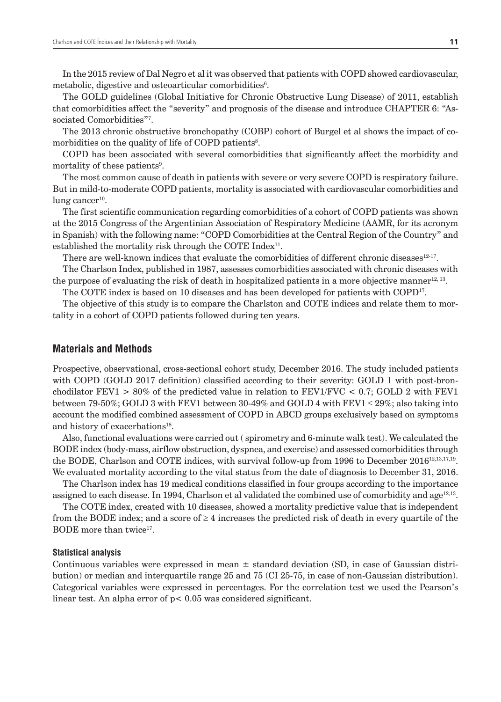In the 2015 review of Dal Negro et al it was observed that patients with COPD showed cardiovascular, metabolic, digestive and osteoarticular comorbidities<sup>6</sup>.

The GOLD guidelines (Global Initiative for Chronic Obstructive Lung Disease) of 2011, establish that comorbidities affect the "severity" and prognosis of the disease and introduce CHAPTER 6: "Associated Comorbidities"7.

The 2013 chronic obstructive bronchopathy (COBP) cohort of Burgel et al shows the impact of comorbidities on the quality of life of COPD patients<sup>8</sup>.

COPD has been associated with several comorbidities that significantly affect the morbidity and mortality of these patients<sup>9</sup>.

The most common cause of death in patients with severe or very severe COPD is respiratory failure. But in mild-to-moderate COPD patients, mortality is associated with cardiovascular comorbidities and lung cancer $10$ .

The first scientific communication regarding comorbidities of a cohort of COPD patients was shown at the 2015 Congress of the Argentinian Association of Respiratory Medicine (AAMR, for its acronym in Spanish) with the following name: "COPD Comorbidities at the Central Region of the Country" and established the mortality risk through the COTE Index<sup>11</sup>.

There are well-known indices that evaluate the comorbidities of different chronic diseases $12 \cdot 17$ .

The Charlson Index, published in 1987, assesses comorbidities associated with chronic diseases with the purpose of evaluating the risk of death in hospitalized patients in a more objective manner<sup>12, 13</sup>.

The COTE index is based on 10 diseases and has been developed for patients with COPD<sup>17</sup>.

The objective of this study is to compare the Charlston and COTE indices and relate them to mortality in a cohort of COPD patients followed during ten years.

### **Materials and Methods**

Prospective, observational, cross-sectional cohort study, December 2016. The study included patients with COPD (GOLD 2017 definition) classified according to their severity: GOLD 1 with post-bronchodilator FEV1  $> 80\%$  of the predicted value in relation to FEV1/FVC  $< 0.7$ ; GOLD 2 with FEV1 between 79-50%; GOLD 3 with FEV1 between 30-49% and GOLD 4 with FEV1  $\leq$  29%; also taking into account the modified combined assessment of COPD in ABCD groups exclusively based on symptoms and history of exacerbations<sup>18</sup>.

Also, functional evaluations were carried out ( spirometry and 6-minute walk test). We calculated the BODE index (body-mass, airflow obstruction, dyspnea, and exercise) and assessed comorbidities through the BODE, Charlson and COTE indices, with survival follow-up from 1996 to December  $2016^{12,13,17,19}$ . We evaluated mortality according to the vital status from the date of diagnosis to December 31, 2016.

The Charlson index has 19 medical conditions classified in four groups according to the importance assigned to each disease. In 1994, Charlson et al validated the combined use of comorbidity and age<sup>12,13</sup>.

The COTE index, created with 10 diseases, showed a mortality predictive value that is independent from the BODE index; and a score of  $\geq 4$  increases the predicted risk of death in every quartile of the BODE more than twice<sup>17</sup>.

#### **Statistical analysis**

Continuous variables were expressed in mean  $\pm$  standard deviation (SD, in case of Gaussian distribution) or median and interquartile range 25 and 75 (CI 25-75, in case of non-Gaussian distribution). Categorical variables were expressed in percentages. For the correlation test we used the Pearson's linear test. An alpha error of p< 0.05 was considered significant.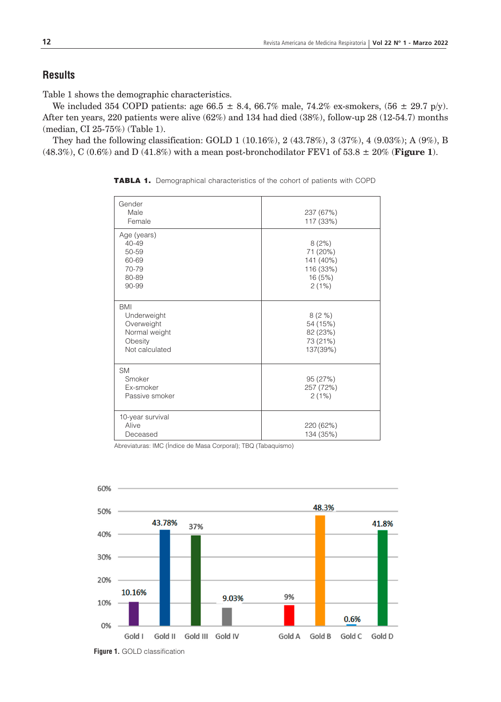## **Results**

Table 1 shows the demographic characteristics.

We included 354 COPD patients: age 66.5  $\pm$  8.4, 66.7% male, 74.2% ex-smokers, (56  $\pm$  29.7 p/y). After ten years, 220 patients were alive (62%) and 134 had died (38%), follow-up 28 (12-54.7) months (median, CI 25-75%) (Table 1).

They had the following classification: GOLD 1 (10.16%), 2 (43.78%), 3 (37%), 4 (9.03%); A (9%), B  $(48.3\%)$ , C  $(0.6\%)$  and D  $(41.8\%)$  with a mean post-bronchodilator FEV1 of 53.8  $\pm$  20% (**Figure 1**).

| Gender<br>Male<br>Female                                                              | 237 (67%)<br>117 (33%)                                          |
|---------------------------------------------------------------------------------------|-----------------------------------------------------------------|
| Age (years)<br>$40 - 49$<br>50-59<br>60-69<br>70-79<br>80-89<br>90-99                 | 8(2%)<br>71 (20%)<br>141 (40%)<br>116 (33%)<br>16 (5%)<br>2(1%) |
| <b>BMI</b><br>Underweight<br>Overweight<br>Normal weight<br>Obesity<br>Not calculated | 8(2%)<br>54 (15%)<br>82 (23%)<br>73 (21%)<br>137(39%)           |
| <b>SM</b><br>Smoker<br>Ex-smoker<br>Passive smoker                                    | 95 (27%)<br>257 (72%)<br>2(1%)                                  |
| 10-year survival<br>Alive<br>Deceased                                                 | 220 (62%)<br>134 (35%)                                          |

TABLA 1. Demographical characteristics of the cohort of patients with COPD

Abreviaturas: IMC (Índice de Masa Corporal); TBQ (Tabaquismo)



**Figure 1.** GOLD classification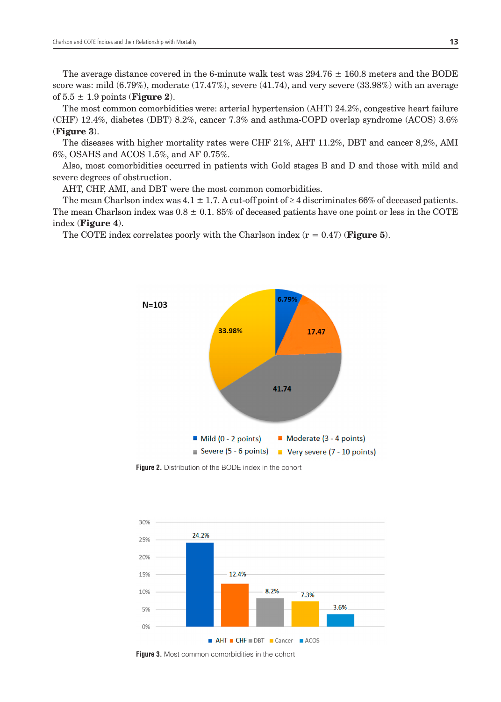The average distance covered in the 6-minute walk test was  $294.76 \pm 160.8$  meters and the BODE score was: mild  $(6.79\%)$ , moderate  $(17.47\%)$ , severe  $(41.74)$ , and very severe  $(33.98\%)$  with an average of  $5.5 \pm 1.9$  points (**Figure 2**).

The most common comorbidities were: arterial hypertension (AHT) 24.2%, congestive heart failure (CHF) 12.4%, diabetes (DBT) 8.2%, cancer 7.3% and asthma-COPD overlap syndrome (ACOS) 3.6% (**Figure 3**).

The diseases with higher mortality rates were CHF 21%, AHT 11.2%, DBT and cancer 8,2%, AMI 6%, OSAHS and ACOS 1.5%, and AF 0.75%.

Also, most comorbidities occurred in patients with Gold stages B and D and those with mild and severe degrees of obstruction.

AHT, CHF, AMI, and DBT were the most common comorbidities.

The mean Charlson index was  $4.1 \pm 1.7$ . A cut-off point of  $\geq 4$  discriminates 66% of deceased patients. The mean Charlson index was  $0.8 \pm 0.1$ . 85% of deceased patients have one point or less in the COTE index (**Figure 4**).

The COTE index correlates poorly with the Charlson index  $(r = 0.47)$  (**Figure 5**).



**Figure 2.** Distribution of the BODE index in the cohort



**Figure 3.** Most common comorbidities in the cohort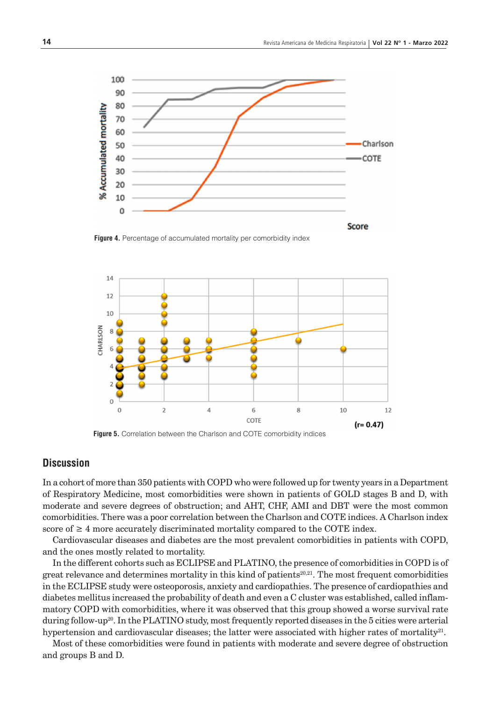

Figure 4. Percentage of accumulated mortality per comorbidity index





## **Discussion**

In a cohort of more than 350 patients with COPD who were followed up for twenty years in a Department of Respiratory Medicine, most comorbidities were shown in patients of GOLD stages B and D, with moderate and severe degrees of obstruction; and AHT, CHF, AMI and DBT were the most common comorbidities. There was a poor correlation between the Charlson and COTE indices. A Charlson index score of  $\geq 4$  more accurately discriminated mortality compared to the COTE index.

Cardiovascular diseases and diabetes are the most prevalent comorbidities in patients with COPD, and the ones mostly related to mortality.

In the different cohorts such as ECLIPSE and PLATINO, the presence of comorbidities in COPD is of great relevance and determines mortality in this kind of patients<sup>20,21</sup>. The most frequent comorbidities in the ECLIPSE study were osteoporosis, anxiety and cardiopathies. The presence of cardiopathies and diabetes mellitus increased the probability of death and even a C cluster was established, called inflammatory COPD with comorbidities, where it was observed that this group showed a worse survival rate during follow-up<sup>20</sup>. In the PLATINO study, most frequently reported diseases in the 5 cities were arterial hypertension and cardiovascular diseases; the latter were associated with higher rates of mortality $2^{1}$ .

Most of these comorbidities were found in patients with moderate and severe degree of obstruction and groups B and D.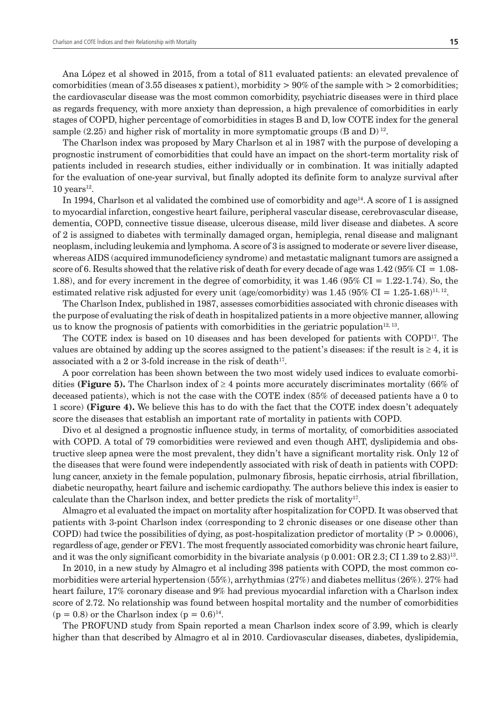Ana López et al showed in 2015, from a total of 811 evaluated patients: an elevated prevalence of comorbidities (mean of 3.55 diseases x patient), morbidity  $> 90\%$  of the sample with  $> 2$  comorbidities; the cardiovascular disease was the most common comorbidity, psychiatric diseases were in third place as regards frequency, with more anxiety than depression, a high prevalence of comorbidities in early stages of COPD, higher percentage of comorbidities in stages B and D, low COTE index for the general sample (2.25) and higher risk of mortality in more symptomatic groups (B and D)<sup>12</sup>.

The Charlson index was proposed by Mary Charlson et al in 1987 with the purpose of developing a prognostic instrument of comorbidities that could have an impact on the short-term mortality risk of patients included in research studies, either individually or in combination. It was initially adapted for the evaluation of one-year survival, but finally adopted its definite form to analyze survival after  $10$  years<sup>12</sup>.

In 1994, Charlson et al validated the combined use of comorbidity and age<sup>14</sup>. A score of 1 is assigned to myocardial infarction, congestive heart failure, peripheral vascular disease, cerebrovascular disease, dementia, COPD, connective tissue disease, ulcerous disease, mild liver disease and diabetes. A score of 2 is assigned to diabetes with terminally damaged organ, hemiplegia, renal disease and malignant neoplasm, including leukemia and lymphoma. A score of 3 is assigned to moderate or severe liver disease, whereas AIDS (acquired immunodeficiency syndrome) and metastatic malignant tumors are assigned a score of 6. Results showed that the relative risk of death for every decade of age was  $1.42$  (95% CI = 1.08-1.88), and for every increment in the degree of comorbidity, it was 1.46 (95% CI = 1.22-1.74). So, the estimated relative risk adjusted for every unit (age/comorbidity) was 1.45 (95% CI = 1.25-1.68)<sup>11, 12</sup>.

The Charlson Index, published in 1987, assesses comorbidities associated with chronic diseases with the purpose of evaluating the risk of death in hospitalized patients in a more objective manner, allowing us to know the prognosis of patients with comorbidities in the geriatric population<sup>12, 13</sup>.

The COTE index is based on 10 diseases and has been developed for patients with COPD17. The values are obtained by adding up the scores assigned to the patient's diseases: if the result is  $\geq 4$ , it is associated with a 2 or 3-fold increase in the risk of death<sup>17</sup>.

A poor correlation has been shown between the two most widely used indices to evaluate comorbidities (**Figure 5).** The Charlson index of  $\geq 4$  points more accurately discriminates mortality (66% of deceased patients), which is not the case with the COTE index (85% of deceased patients have a 0 to 1 score) **(Figure 4).** We believe this has to do with the fact that the COTE index doesn't adequately score the diseases that establish an important rate of mortality in patients with COPD.

Divo et al designed a prognostic influence study, in terms of mortality, of comorbidities associated with COPD. A total of 79 comorbidities were reviewed and even though AHT, dyslipidemia and obstructive sleep apnea were the most prevalent, they didn't have a significant mortality risk. Only 12 of the diseases that were found were independently associated with risk of death in patients with COPD: lung cancer, anxiety in the female population, pulmonary fibrosis, hepatic cirrhosis, atrial fibrillation, diabetic neuropathy, heart failure and ischemic cardiopathy. The authors believe this index is easier to calculate than the Charlson index, and better predicts the risk of mortality<sup>17</sup>.

Almagro et al evaluated the impact on mortality after hospitalization for COPD. It was observed that patients with 3-point Charlson index (corresponding to 2 chronic diseases or one disease other than COPD) had twice the possibilities of dying, as post-hospitalization predictor of mortality ( $P > 0.0006$ ), regardless of age, gender or FEV1. The most frequently associated comorbidity was chronic heart failure, and it was the only significant comorbidity in the bivariate analysis (p 0.001: OR 2.3; CI 1.39 to 2.83)13.

In 2010, in a new study by Almagro et al including 398 patients with COPD, the most common comorbidities were arterial hypertension (55%), arrhythmias (27%) and diabetes mellitus (26%). 27% had heart failure, 17% coronary disease and 9% had previous myocardial infarction with a Charlson index score of 2.72. No relationship was found between hospital mortality and the number of comorbidities  $(p = 0.8)$  or the Charlson index  $(p = 0.6)^{14}$ .

The PROFUND study from Spain reported a mean Charlson index score of 3.99, which is clearly higher than that described by Almagro et al in 2010. Cardiovascular diseases, diabetes, dyslipidemia,